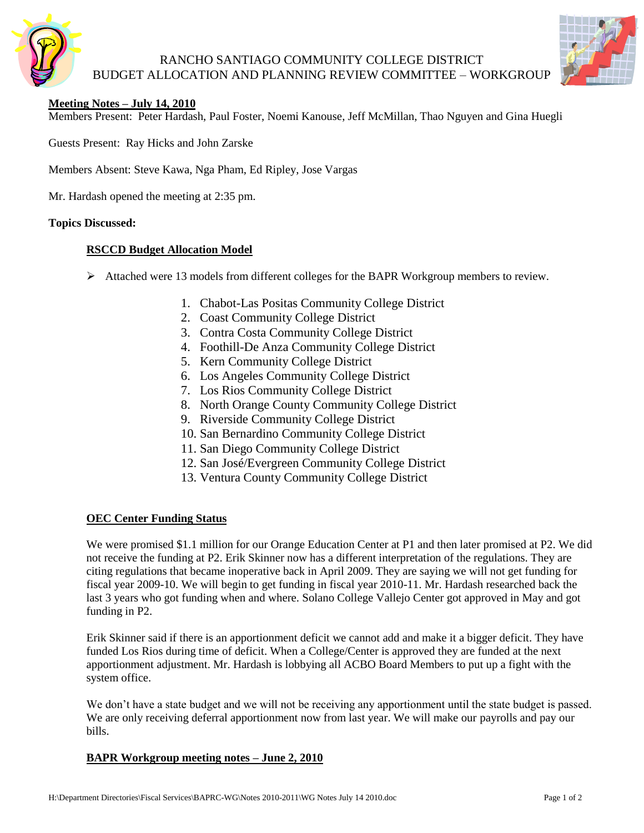

## RANCHO SANTIAGO COMMUNITY COLLEGE DISTRICT BUDGET ALLOCATION AND PLANNING REVIEW COMMITTEE – WORKGROUP



## **Meeting Notes – July 14, 2010**

Members Present: Peter Hardash, Paul Foster, Noemi Kanouse, Jeff McMillan, Thao Nguyen and Gina Huegli

Guests Present: Ray Hicks and John Zarske

Members Absent: Steve Kawa, Nga Pham, Ed Ripley, Jose Vargas

Mr. Hardash opened the meeting at 2:35 pm.

### **Topics Discussed:**

### **RSCCD Budget Allocation Model**

- Attached were 13 models from different colleges for the BAPR Workgroup members to review.
	- 1. Chabot-Las Positas Community College District
	- 2. Coast Community College District
	- 3. Contra Costa Community College District
	- 4. Foothill-De Anza Community College District
	- 5. Kern Community College District
	- 6. Los Angeles Community College District
	- 7. Los Rios Community College District
	- 8. North Orange County Community College District
	- 9. Riverside Community College District
	- 10. San Bernardino Community College District
	- 11. San Diego Community College District
	- 12. San José/Evergreen Community College District
	- 13. Ventura County Community College District

### **OEC Center Funding Status**

We were promised \$1.1 million for our Orange Education Center at P1 and then later promised at P2. We did not receive the funding at P2. Erik Skinner now has a different interpretation of the regulations. They are citing regulations that became inoperative back in April 2009. They are saying we will not get funding for fiscal year 2009-10. We will begin to get funding in fiscal year 2010-11. Mr. Hardash researched back the last 3 years who got funding when and where. Solano College Vallejo Center got approved in May and got funding in P2.

Erik Skinner said if there is an apportionment deficit we cannot add and make it a bigger deficit. They have funded Los Rios during time of deficit. When a College/Center is approved they are funded at the next apportionment adjustment. Mr. Hardash is lobbying all ACBO Board Members to put up a fight with the system office.

We don't have a state budget and we will not be receiving any apportionment until the state budget is passed. We are only receiving deferral apportionment now from last year. We will make our payrolls and pay our bills.

### **BAPR Workgroup meeting notes – June 2, 2010**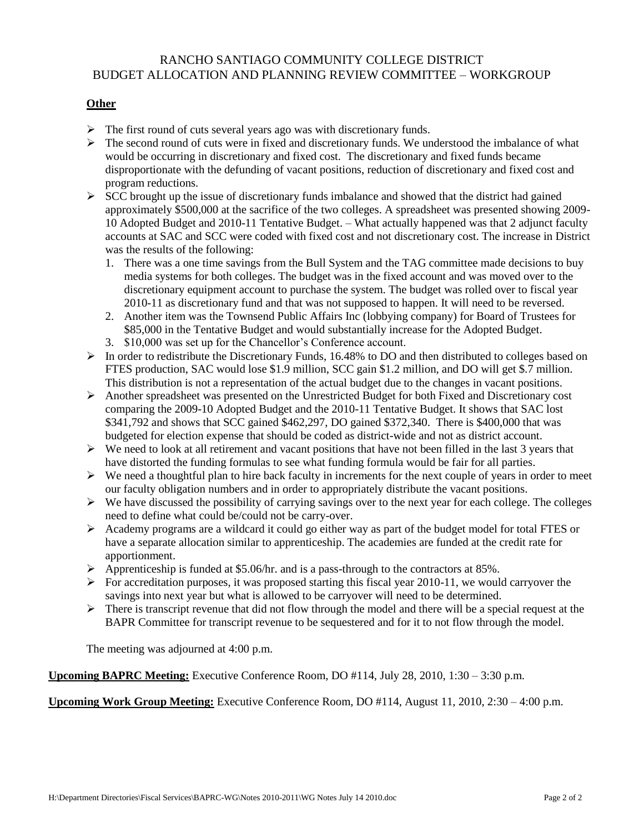## RANCHO SANTIAGO COMMUNITY COLLEGE DISTRICT BUDGET ALLOCATION AND PLANNING REVIEW COMMITTEE – WORKGROUP

## **Other**

- $\triangleright$  The first round of cuts several years ago was with discretionary funds.
- $\triangleright$  The second round of cuts were in fixed and discretionary funds. We understood the imbalance of what would be occurring in discretionary and fixed cost. The discretionary and fixed funds became disproportionate with the defunding of vacant positions, reduction of discretionary and fixed cost and program reductions.
- $\triangleright$  SCC brought up the issue of discretionary funds imbalance and showed that the district had gained approximately \$500,000 at the sacrifice of the two colleges. A spreadsheet was presented showing 2009- 10 Adopted Budget and 2010-11 Tentative Budget. – What actually happened was that 2 adjunct faculty accounts at SAC and SCC were coded with fixed cost and not discretionary cost. The increase in District was the results of the following:
	- 1. There was a one time savings from the Bull System and the TAG committee made decisions to buy media systems for both colleges. The budget was in the fixed account and was moved over to the discretionary equipment account to purchase the system. The budget was rolled over to fiscal year 2010-11 as discretionary fund and that was not supposed to happen. It will need to be reversed.
	- 2. Another item was the Townsend Public Affairs Inc (lobbying company) for Board of Trustees for \$85,000 in the Tentative Budget and would substantially increase for the Adopted Budget.
	- 3. \$10,000 was set up for the Chancellor's Conference account.
- $\triangleright$  In order to redistribute the Discretionary Funds, 16.48% to DO and then distributed to colleges based on FTES production, SAC would lose \$1.9 million, SCC gain \$1.2 million, and DO will get \$.7 million. This distribution is not a representation of the actual budget due to the changes in vacant positions.
- $\triangleright$  Another spreadsheet was presented on the Unrestricted Budget for both Fixed and Discretionary cost comparing the 2009-10 Adopted Budget and the 2010-11 Tentative Budget. It shows that SAC lost \$341,792 and shows that SCC gained \$462,297, DO gained \$372,340. There is \$400,000 that was budgeted for election expense that should be coded as district-wide and not as district account.
- $\triangleright$  We need to look at all retirement and vacant positions that have not been filled in the last 3 years that have distorted the funding formulas to see what funding formula would be fair for all parties.
- $\triangleright$  We need a thoughtful plan to hire back faculty in increments for the next couple of years in order to meet our faculty obligation numbers and in order to appropriately distribute the vacant positions.
- $\triangleright$  We have discussed the possibility of carrying savings over to the next year for each college. The colleges need to define what could be/could not be carry-over.
- Academy programs are a wildcard it could go either way as part of the budget model for total FTES or have a separate allocation similar to apprenticeship. The academies are funded at the credit rate for apportionment.
- $\triangleright$  Apprenticeship is funded at \$5.06/hr. and is a pass-through to the contractors at 85%.
- $\triangleright$  For accreditation purposes, it was proposed starting this fiscal year 2010-11, we would carryover the savings into next year but what is allowed to be carryover will need to be determined.
- $\triangleright$  There is transcript revenue that did not flow through the model and there will be a special request at the BAPR Committee for transcript revenue to be sequestered and for it to not flow through the model.

The meeting was adjourned at 4:00 p.m.

**Upcoming BAPRC Meeting:** Executive Conference Room, DO #114, July 28, 2010, 1:30 – 3:30 p.m.

**Upcoming Work Group Meeting:** Executive Conference Room, DO #114, August 11, 2010, 2:30 – 4:00 p.m.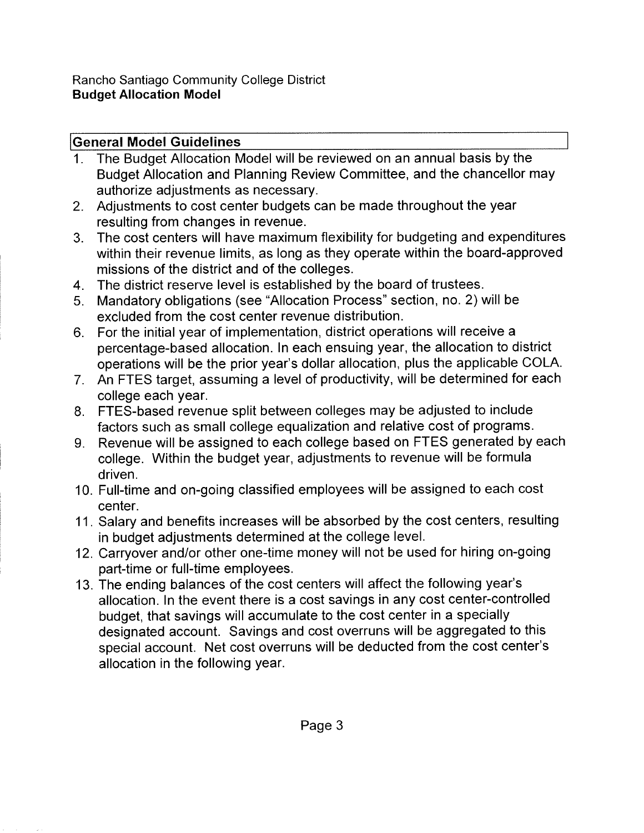# **General Model Guidelines**

- The Budget Allocation Model will be reviewed on an annual basis by the  $1$ Budget Allocation and Planning Review Committee, and the chancellor may authorize adjustments as necessary.
- 2. Adjustments to cost center budgets can be made throughout the year resulting from changes in revenue.
- $3<sub>1</sub>$ The cost centers will have maximum flexibility for budgeting and expenditures within their revenue limits, as long as they operate within the board-approved missions of the district and of the colleges.
- 4. The district reserve level is established by the board of trustees.
- 5. Mandatory obligations (see "Allocation Process" section, no. 2) will be excluded from the cost center revenue distribution.
- 6. For the initial year of implementation, district operations will receive a percentage-based allocation. In each ensuing year, the allocation to district operations will be the prior year's dollar allocation, plus the applicable COLA.
- 7. An FTES target, assuming a level of productivity, will be determined for each college each year.
- 8. FTES-based revenue split between colleges may be adjusted to include factors such as small college equalization and relative cost of programs.
- 9. Revenue will be assigned to each college based on FTES generated by each college. Within the budget year, adjustments to revenue will be formula driven.
- 10. Full-time and on-going classified employees will be assigned to each cost center.
- 11. Salary and benefits increases will be absorbed by the cost centers, resulting in budget adjustments determined at the college level.
- 12. Carryover and/or other one-time money will not be used for hiring on-going part-time or full-time employees.
- 13. The ending balances of the cost centers will affect the following year's allocation. In the event there is a cost savings in any cost center-controlled budget, that savings will accumulate to the cost center in a specially designated account. Savings and cost overruns will be aggregated to this special account. Net cost overruns will be deducted from the cost center's allocation in the following year.